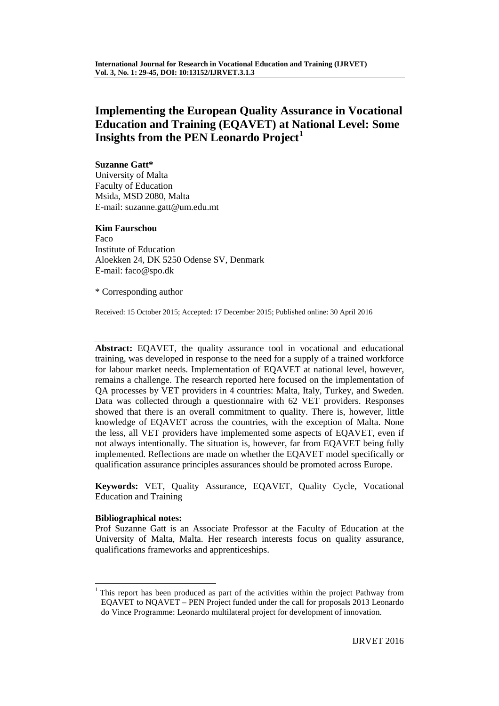# **Implementing the European Quality Assurance in Vocational Education and Training (EQAVET) at National Level: Some Insights from the PEN Leonardo Project[1](#page-0-0)**

## **Suzanne Gatt\***

University of Malta Faculty of Education Msida, MSD 2080, Malta E-mail: suzanne.gatt@um.edu.mt

## **Kim Faurschou**

Faco Institute of Education Aloekken 24, DK 5250 Odense SV, Denmark E-mail: faco@spo.dk

\* Corresponding author

Received: 15 October 2015; Accepted: 17 December 2015; Published online: 30 April 2016

**Abstract:** EQAVET, the quality assurance tool in vocational and educational training, was developed in response to the need for a supply of a trained workforce for labour market needs. Implementation of EQAVET at national level, however, remains a challenge. The research reported here focused on the implementation of QA processes by VET providers in 4 countries: Malta, Italy, Turkey, and Sweden. Data was collected through a questionnaire with 62 VET providers. Responses showed that there is an overall commitment to quality. There is, however, little knowledge of EQAVET across the countries, with the exception of Malta. None the less, all VET providers have implemented some aspects of EQAVET, even if not always intentionally. The situation is, however, far from EQAVET being fully implemented. Reflections are made on whether the EQAVET model specifically or qualification assurance principles assurances should be promoted across Europe.

**Keywords:** VET, Quality Assurance, EQAVET, Quality Cycle, Vocational Education and Training

## **Bibliographical notes:**

Prof Suzanne Gatt is an Associate Professor at the Faculty of Education at the University of Malta, Malta. Her research interests focus on quality assurance, qualifications frameworks and apprenticeships.

<span id="page-0-0"></span><sup>&</sup>lt;sup>1</sup> This report has been produced as part of the activities within the project Pathway from EQAVET to NQAVET – PEN Project funded under the call for proposals 2013 Leonardo do Vince Programme: Leonardo multilateral project for development of innovation.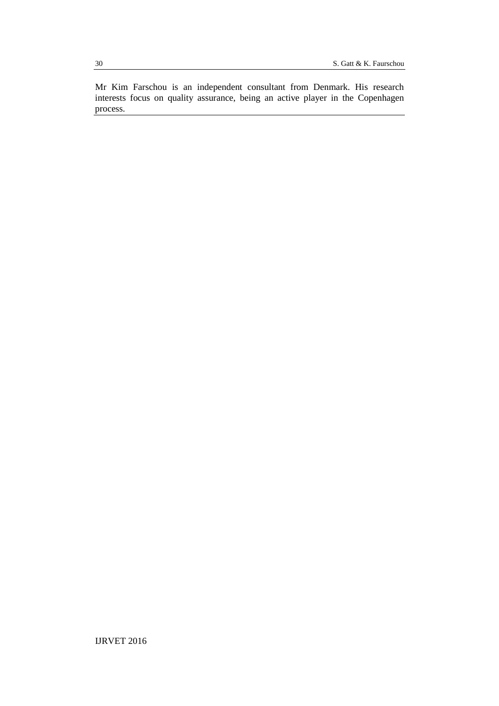Mr Kim Farschou is an independent consultant from Denmark. His research interests focus on quality assurance, being an active player in the Copenhagen process.

IJRVET 2016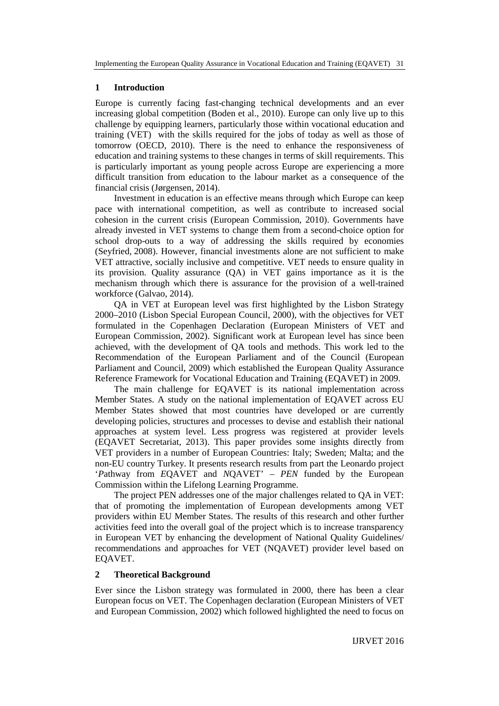#### **1 Introduction**

Europe is currently facing fast-changing technical developments and an ever increasing global competition (Boden et al., 2010). Europe can only live up to this challenge by equipping learners, particularly those within vocational education and training (VET) with the skills required for the jobs of today as well as those of tomorrow (OECD, 2010). There is the need to enhance the responsiveness of education and training systems to these changes in terms of skill requirements. This is particularly important as young people across Europe are experiencing a more difficult transition from education to the labour market as a consequence of the financial crisis (Jørgensen, 2014).

Investment in education is an effective means through which Europe can keep pace with international competition, as well as contribute to increased social cohesion in the current crisis (European Commission, 2010). Governments have already invested in VET systems to change them from a second-choice option for school drop-outs to a way of addressing the skills required by economies (Seyfried, 2008). However, financial investments alone are not sufficient to make VET attractive, socially inclusive and competitive. VET needs to ensure quality in its provision. Quality assurance (QA) in VET gains importance as it is the mechanism through which there is assurance for the provision of a well-trained workforce (Galvao, 2014).

QA in VET at European level was first highlighted by the Lisbon Strategy 2000–2010 (Lisbon Special European Council, 2000), with the objectives for VET formulated in the Copenhagen Declaration (European Ministers of VET and European Commission, 2002). Significant work at European level has since been achieved, with the development of QA tools and methods. This work led to the Recommendation of the European Parliament and of the Council (European Parliament and Council, 2009) which established the European Quality Assurance Reference Framework for Vocational Education and Training (EQAVET) in 2009.

The main challenge for EQAVET is its national implementation across Member States. A study on the national implementation of EQAVET across EU Member States showed that most countries have developed or are currently developing policies, structures and processes to devise and establish their national approaches at system level. Less progress was registered at provider levels (EQAVET Secretariat, 2013). This paper provides some insights directly from VET providers in a number of European Countries: Italy; Sweden; Malta; and the non-EU country Turkey. It presents research results from part the Leonardo project '*P*athway from *E*QAVET and *N*QAVET' – *PEN* funded by the European Commission within the Lifelong Learning Programme.

The project PEN addresses one of the major challenges related to QA in VET: that of promoting the implementation of European developments among VET providers within EU Member States. The results of this research and other further activities feed into the overall goal of the project which is to increase transparency in European VET by enhancing the development of National Quality Guidelines/ recommendations and approaches for VET (NQAVET) provider level based on EQAVET.

#### **2 Theoretical Background**

Ever since the Lisbon strategy was formulated in 2000, there has been a clear European focus on VET. The Copenhagen declaration (European Ministers of VET and European Commission, 2002) which followed highlighted the need to focus on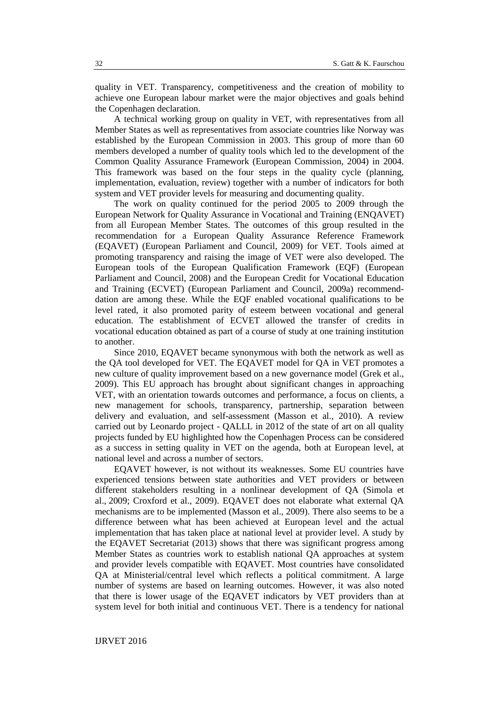quality in VET. Transparency, competitiveness and the creation of mobility to achieve one European labour market were the major objectives and goals behind the Copenhagen declaration.

A technical working group on quality in VET, with representatives from all Member States as well as representatives from associate countries like Norway was established by the European Commission in 2003. This group of more than 60 members developed a number of quality tools which led to the development of the Common Quality Assurance Framework (European Commission, 2004) in 2004. This framework was based on the four steps in the quality cycle (planning, implementation, evaluation, review) together with a number of indicators for both system and VET provider levels for measuring and documenting quality.

The work on quality continued for the period 2005 to 2009 through the European Network for Quality Assurance in Vocational and Training (ENQAVET) from all European Member States. The outcomes of this group resulted in the recommendation for a European Quality Assurance Reference Framework (EQAVET) (European Parliament and Council, 2009) for VET. Tools aimed at promoting transparency and raising the image of VET were also developed. The European tools of the European Qualification Framework (EQF) (European Parliament and Council, 2008) and the European Credit for Vocational Education and Training (ECVET) (European Parliament and Council, 2009a) recommenddation are among these. While the EQF enabled vocational qualifications to be level rated, it also promoted parity of esteem between vocational and general education. The establishment of ECVET allowed the transfer of credits in vocational education obtained as part of a course of study at one training institution to another.

Since 2010, EQAVET became synonymous with both the network as well as the QA tool developed for VET. The EQAVET model for QA in VET promotes a new culture of quality improvement based on a new governance model (Grek et al., 2009). This EU approach has brought about significant changes in approaching VET, with an orientation towards outcomes and performance, a focus on clients, a new management for schools, transparency, partnership, separation between delivery and evaluation, and self-assessment (Masson et al., 2010). A review carried out by Leonardo project - QALLL in 2012 of the state of art on all quality projects funded by EU highlighted how the Copenhagen Process can be considered as a success in setting quality in VET on the agenda, both at European level, at national level and across a number of sectors.

EQAVET however, is not without its weaknesses. Some EU countries have experienced tensions between state authorities and VET providers or between different stakeholders resulting in a nonlinear development of QA (Simola et al., 2009; Croxford et al., 2009). EQAVET does not elaborate what external QA mechanisms are to be implemented (Masson et al., 2009). There also seems to be a difference between what has been achieved at European level and the actual implementation that has taken place at national level at provider level. A study by the EQAVET Secretariat (2013) shows that there was significant progress among Member States as countries work to establish national QA approaches at system and provider levels compatible with EQAVET. Most countries have consolidated QA at Ministerial/central level which reflects a political commitment. A large number of systems are based on learning outcomes. However, it was also noted that there is lower usage of the EQAVET indicators by VET providers than at system level for both initial and continuous VET. There is a tendency for national

32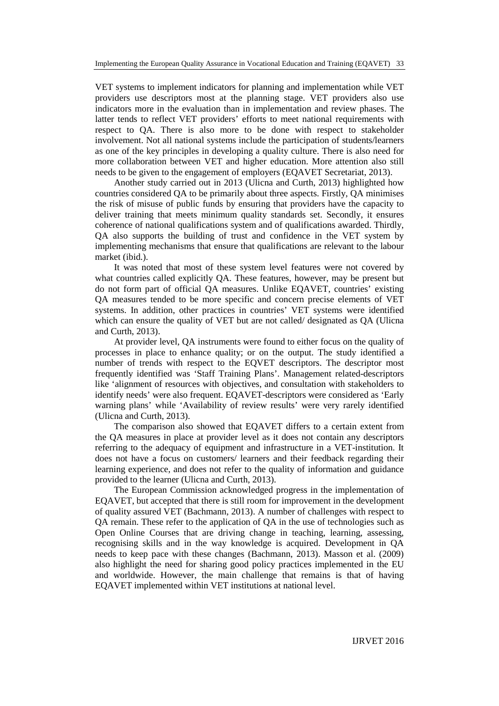VET systems to implement indicators for planning and implementation while VET providers use descriptors most at the planning stage. VET providers also use indicators more in the evaluation than in implementation and review phases. The latter tends to reflect VET providers' efforts to meet national requirements with respect to QA. There is also more to be done with respect to stakeholder involvement. Not all national systems include the participation of students/learners as one of the key principles in developing a quality culture. There is also need for more collaboration between VET and higher education. More attention also still needs to be given to the engagement of employers (EQAVET Secretariat, 2013).

Another study carried out in 2013 (Ulicna and Curth, 2013) highlighted how countries considered QA to be primarily about three aspects. Firstly, QA minimises the risk of misuse of public funds by ensuring that providers have the capacity to deliver training that meets minimum quality standards set. Secondly, it ensures coherence of national qualifications system and of qualifications awarded. Thirdly, QA also supports the building of trust and confidence in the VET system by implementing mechanisms that ensure that qualifications are relevant to the labour market (ibid.).

It was noted that most of these system level features were not covered by what countries called explicitly QA. These features, however, may be present but do not form part of official QA measures. Unlike EQAVET, countries' existing QA measures tended to be more specific and concern precise elements of VET systems. In addition, other practices in countries' VET systems were identified which can ensure the quality of VET but are not called/ designated as QA (Ulicna and Curth, 2013).

At provider level, QA instruments were found to either focus on the quality of processes in place to enhance quality; or on the output. The study identified a number of trends with respect to the EQVET descriptors. The descriptor most frequently identified was 'Staff Training Plans'. Management related-descriptors like 'alignment of resources with objectives, and consultation with stakeholders to identify needs' were also frequent. EQAVET-descriptors were considered as 'Early warning plans' while 'Availability of review results' were very rarely identified (Ulicna and Curth, 2013).

The comparison also showed that EQAVET differs to a certain extent from the QA measures in place at provider level as it does not contain any descriptors referring to the adequacy of equipment and infrastructure in a VET-institution. It does not have a focus on customers/ learners and their feedback regarding their learning experience, and does not refer to the quality of information and guidance provided to the learner (Ulicna and Curth, 2013).

The European Commission acknowledged progress in the implementation of EQAVET, but accepted that there is still room for improvement in the development of quality assured VET (Bachmann, 2013). A number of challenges with respect to QA remain. These refer to the application of QA in the use of technologies such as Open Online Courses that are driving change in teaching, learning, assessing, recognising skills and in the way knowledge is acquired. Development in QA needs to keep pace with these changes (Bachmann, 2013). Masson et al. (2009) also highlight the need for sharing good policy practices implemented in the EU and worldwide. However, the main challenge that remains is that of having EQAVET implemented within VET institutions at national level.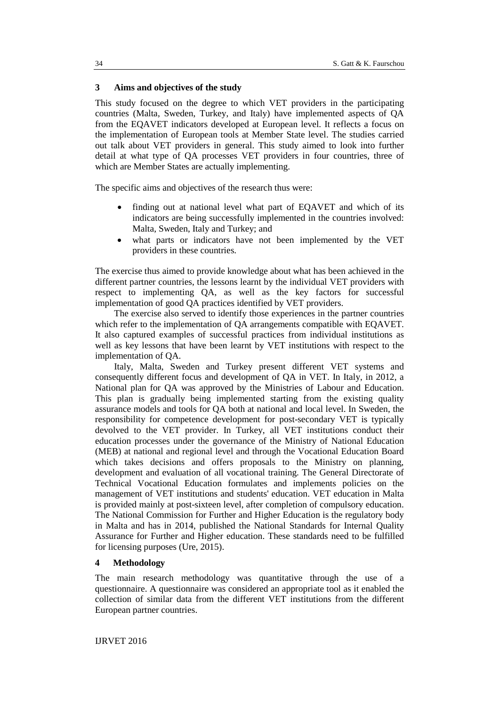#### **3 Aims and objectives of the study**

This study focused on the degree to which VET providers in the participating countries (Malta, Sweden, Turkey, and Italy) have implemented aspects of QA from the EQAVET indicators developed at European level. It reflects a focus on the implementation of European tools at Member State level. The studies carried out talk about VET providers in general. This study aimed to look into further detail at what type of QA processes VET providers in four countries, three of which are Member States are actually implementing.

The specific aims and objectives of the research thus were:

- finding out at national level what part of EQAVET and which of its indicators are being successfully implemented in the countries involved: Malta, Sweden, Italy and Turkey; and
- what parts or indicators have not been implemented by the VET providers in these countries.

The exercise thus aimed to provide knowledge about what has been achieved in the different partner countries, the lessons learnt by the individual VET providers with respect to implementing QA, as well as the key factors for successful implementation of good QA practices identified by VET providers.

The exercise also served to identify those experiences in the partner countries which refer to the implementation of QA arrangements compatible with EQAVET. It also captured examples of successful practices from individual institutions as well as key lessons that have been learnt by VET institutions with respect to the implementation of QA.

Italy, Malta, Sweden and Turkey present different VET systems and consequently different focus and development of QA in VET. In Italy, in 2012, a National plan for QA was approved by the Ministries of Labour and Education. This plan is gradually being implemented starting from the existing quality assurance models and tools for QA both at national and local level. In Sweden, the responsibility for competence development for post-secondary VET is typically devolved to the VET provider. In Turkey, all VET institutions conduct their education processes under the governance of the Ministry of National Education (MEB) at national and regional level and through the Vocational Education Board which takes decisions and offers proposals to the Ministry on planning, development and evaluation of all vocational training. The General Directorate of Technical Vocational Education formulates and implements policies on the management of VET institutions and students' education. VET education in Malta is provided mainly at post-sixteen level, after completion of compulsory education. The National Commission for Further and Higher Education is the regulatory body in Malta and has in 2014, published the National Standards for Internal Quality Assurance for Further and Higher education. These standards need to be fulfilled for licensing purposes (Ure, 2015).

#### **4 Methodology**

The main research methodology was quantitative through the use of a questionnaire. A questionnaire was considered an appropriate tool as it enabled the collection of similar data from the different VET institutions from the different European partner countries.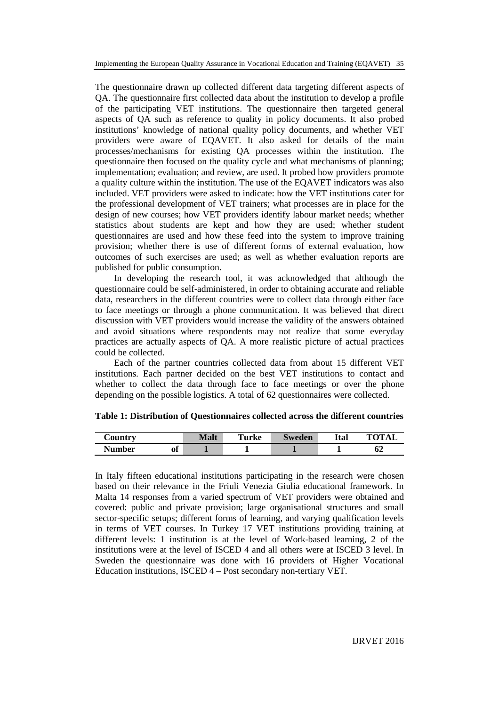The questionnaire drawn up collected different data targeting different aspects of QA. The questionnaire first collected data about the institution to develop a profile of the participating VET institutions. The questionnaire then targeted general aspects of QA such as reference to quality in policy documents. It also probed institutions' knowledge of national quality policy documents, and whether VET providers were aware of EQAVET. It also asked for details of the main processes/mechanisms for existing QA processes within the institution. The questionnaire then focused on the quality cycle and what mechanisms of planning; implementation; evaluation; and review, are used. It probed how providers promote a quality culture within the institution. The use of the EQAVET indicators was also included. VET providers were asked to indicate: how the VET institutions cater for the professional development of VET trainers; what processes are in place for the design of new courses; how VET providers identify labour market needs; whether statistics about students are kept and how they are used; whether student questionnaires are used and how these feed into the system to improve training provision; whether there is use of different forms of external evaluation, how outcomes of such exercises are used; as well as whether evaluation reports are published for public consumption.

In developing the research tool, it was acknowledged that although the questionnaire could be self-administered, in order to obtaining accurate and reliable data, researchers in the different countries were to collect data through either face to face meetings or through a phone communication. It was believed that direct discussion with VET providers would increase the validity of the answers obtained and avoid situations where respondents may not realize that some everyday practices are actually aspects of QA. A more realistic picture of actual practices could be collected.

Each of the partner countries collected data from about 15 different VET institutions. Each partner decided on the best VET institutions to contact and whether to collect the data through face to face meetings or over the phone depending on the possible logistics. A total of 62 questionnaires were collected.

| $\mathcal{L}$ ountry |                 | Malt | Turke | Sweden | Ital | <b>TOTAI</b> |
|----------------------|-----------------|------|-------|--------|------|--------------|
| Number               | $\bullet$<br>ot |      |       |        |      | υz           |

**Table 1: Distribution of Questionnaires collected across the different countries**

In Italy fifteen educational institutions participating in the research were chosen based on their relevance in the Friuli Venezia Giulia educational framework. In Malta 14 responses from a varied spectrum of VET providers were obtained and covered: public and private provision; large organisational structures and small sector-specific setups; different forms of learning, and varying qualification levels in terms of VET courses. In Turkey 17 VET institutions providing training at different levels: 1 institution is at the level of Work-based learning, 2 of the institutions were at the level of ISCED 4 and all others were at ISCED 3 level. In Sweden the questionnaire was done with 16 providers of Higher Vocational Education institutions, ISCED 4 – Post secondary non-tertiary VET.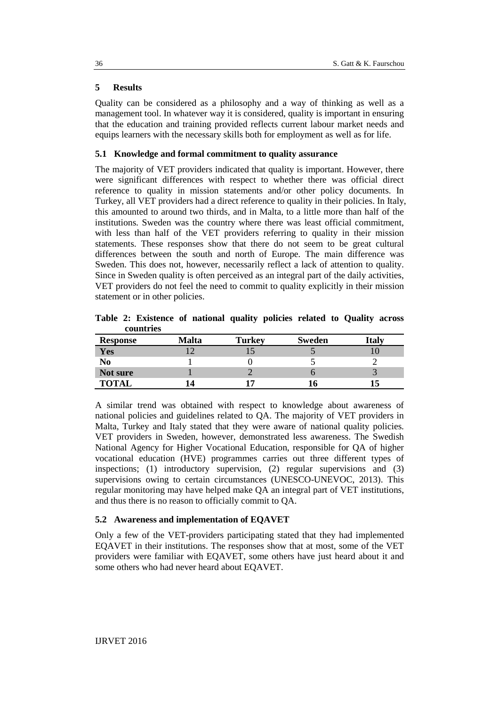## **5 Results**

Quality can be considered as a philosophy and a way of thinking as well as a management tool. In whatever way it is considered, quality is important in ensuring that the education and training provided reflects current labour market needs and equips learners with the necessary skills both for employment as well as for life.

#### **5.1 Knowledge and formal commitment to quality assurance**

The majority of VET providers indicated that quality is important. However, there were significant differences with respect to whether there was official direct reference to quality in mission statements and/or other policy documents. In Turkey, all VET providers had a direct reference to quality in their policies. In Italy, this amounted to around two thirds, and in Malta, to a little more than half of the institutions. Sweden was the country where there was least official commitment, with less than half of the VET providers referring to quality in their mission statements. These responses show that there do not seem to be great cultural differences between the south and north of Europe. The main difference was Sweden. This does not, however, necessarily reflect a lack of attention to quality. Since in Sweden quality is often perceived as an integral part of the daily activities, VET providers do not feel the need to commit to quality explicitly in their mission statement or in other policies.

| countries       |       |               |               |              |
|-----------------|-------|---------------|---------------|--------------|
| <b>Response</b> | Malta | <b>Turkey</b> | <b>Sweden</b> | <b>Italy</b> |
| Yes             |       |               |               |              |
| No              |       |               |               |              |
| Not sure        |       |               |               |              |
| <b>TOTAL</b>    |       |               |               | l5           |

**Table 2: Existence of national quality policies related to Quality across countries**

A similar trend was obtained with respect to knowledge about awareness of national policies and guidelines related to QA. The majority of VET providers in Malta, Turkey and Italy stated that they were aware of national quality policies. VET providers in Sweden, however, demonstrated less awareness. The Swedish National Agency for Higher Vocational Education, responsible for QA of higher vocational education (HVE) programmes carries out three different types of inspections; (1) introductory supervision, (2) regular supervisions and (3) supervisions owing to certain circumstances (UNESCO-UNEVOC, 2013). This regular monitoring may have helped make QA an integral part of VET institutions, and thus there is no reason to officially commit to QA.

## **5.2 Awareness and implementation of EQAVET**

Only a few of the VET-providers participating stated that they had implemented EQAVET in their institutions. The responses show that at most, some of the VET providers were familiar with EQAVET, some others have just heard about it and some others who had never heard about EQAVET.

36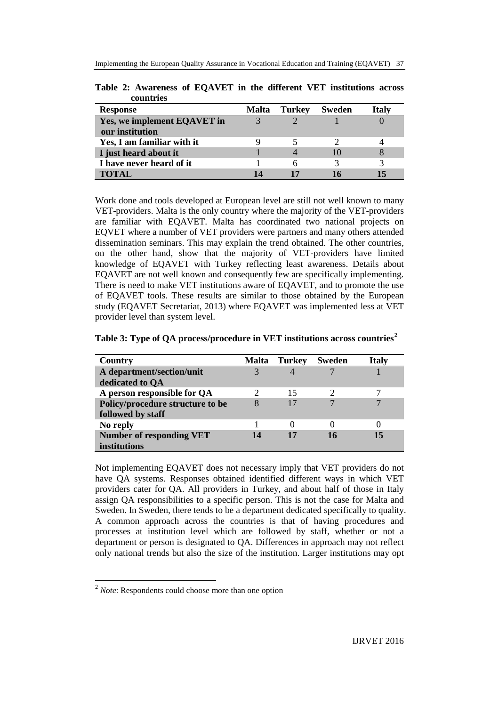| countries                   |              |               |               |              |
|-----------------------------|--------------|---------------|---------------|--------------|
| <b>Response</b>             | <b>Malta</b> | <b>Turkey</b> | <b>Sweden</b> | <b>Italy</b> |
| Yes, we implement EQAVET in |              |               |               |              |
| our institution             |              |               |               |              |
| Yes, I am familiar with it  |              |               |               |              |
| I just heard about it       |              |               | 10            |              |
| I have never heard of it    |              | 6             |               |              |
| <b>TOTAL</b>                |              | 17            |               |              |

**Table 2: Awareness of EQAVET in the different VET institutions across**

Work done and tools developed at European level are still not well known to many VET-providers. Malta is the only country where the majority of the VET-providers are familiar with EQAVET. Malta has coordinated two national projects on EQVET where a number of VET providers were partners and many others attended dissemination seminars. This may explain the trend obtained. The other countries, on the other hand, show that the majority of VET-providers have limited knowledge of EQAVET with Turkey reflecting least awareness. Details about EQAVET are not well known and consequently few are specifically implementing. There is need to make VET institutions aware of EQAVET, and to promote the use of EQAVET tools. These results are similar to those obtained by the European study (EQAVET Secretariat, 2013) where EQAVET was implemented less at VET provider level than system level.

| Country                          | <b>Malta</b> | Turkey | <b>Sweden</b> | <b>Italy</b> |
|----------------------------------|--------------|--------|---------------|--------------|
| A department/section/unit        |              |        |               |              |
| dedicated to OA                  |              |        |               |              |
| A person responsible for QA      |              | 15     |               |              |
| Policy/procedure structure to be | 8            | 17     |               | 7            |
| followed by staff                |              |        |               |              |
| No reply                         |              |        |               |              |
| <b>Number of responding VET</b>  | 14           | 17     | 16            | 15           |
| institutions                     |              |        |               |              |

**Table 3: Type of QA process/procedure in VET institutions across countries[2](#page-8-0)**

Not implementing EQAVET does not necessary imply that VET providers do not have QA systems. Responses obtained identified different ways in which VET providers cater for QA. All providers in Turkey, and about half of those in Italy assign QA responsibilities to a specific person. This is not the case for Malta and Sweden. In Sweden, there tends to be a department dedicated specifically to quality. A common approach across the countries is that of having procedures and processes at institution level which are followed by staff, whether or not a department or person is designated to QA. Differences in approach may not reflect only national trends but also the size of the institution. Larger institutions may opt

<span id="page-8-0"></span> <sup>2</sup> *Note*: Respondents could choose more than one option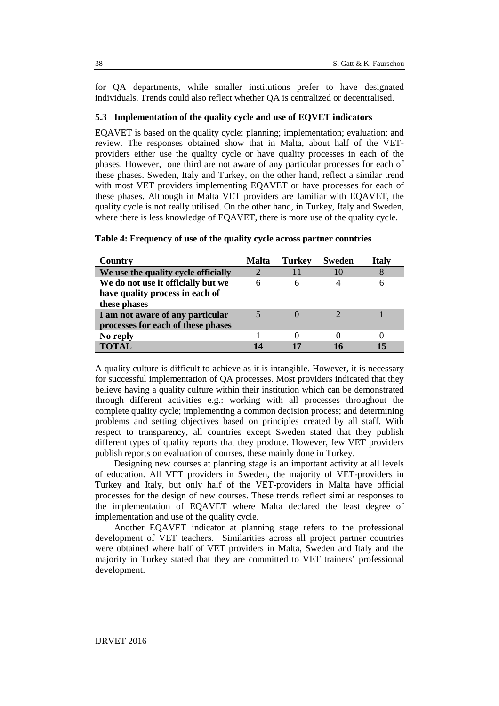for QA departments, while smaller institutions prefer to have designated individuals. Trends could also reflect whether QA is centralized or decentralised.

#### **5.3 Implementation of the quality cycle and use of EQVET indicators**

EQAVET is based on the quality cycle: planning; implementation; evaluation; and review. The responses obtained show that in Malta, about half of the VETproviders either use the quality cycle or have quality processes in each of the phases. However, one third are not aware of any particular processes for each of these phases. Sweden, Italy and Turkey, on the other hand, reflect a similar trend with most VET providers implementing EQAVET or have processes for each of these phases. Although in Malta VET providers are familiar with EQAVET, the quality cycle is not really utilised. On the other hand, in Turkey, Italy and Sweden, where there is less knowledge of EQAVET, there is more use of the quality cycle.

| Country                             | Malta | <b>Turkey</b> | <b>Sweden</b> | Italv |
|-------------------------------------|-------|---------------|---------------|-------|
| We use the quality cycle officially |       |               | 10            |       |
| We do not use it officially but we  | 6     | h             |               |       |
| have quality process in each of     |       |               |               |       |
| these phases                        |       |               |               |       |
| I am not aware of any particular    |       |               |               |       |
| processes for each of these phases  |       |               |               |       |
| No reply                            |       |               |               |       |
| <b>TOTAL</b>                        |       |               | 16            |       |

|  |  |  |  |  |  |  |  |  |  |  |  |  |  | Table 4: Frequency of use of the quality cycle across partner countries |
|--|--|--|--|--|--|--|--|--|--|--|--|--|--|-------------------------------------------------------------------------|
|--|--|--|--|--|--|--|--|--|--|--|--|--|--|-------------------------------------------------------------------------|

A quality culture is difficult to achieve as it is intangible. However, it is necessary for successful implementation of QA processes. Most providers indicated that they believe having a quality culture within their institution which can be demonstrated through different activities e.g.: working with all processes throughout the complete quality cycle; implementing a common decision process; and determining problems and setting objectives based on principles created by all staff. With respect to transparency, all countries except Sweden stated that they publish different types of quality reports that they produce. However, few VET providers publish reports on evaluation of courses, these mainly done in Turkey.

Designing new courses at planning stage is an important activity at all levels of education. All VET providers in Sweden, the majority of VET-providers in Turkey and Italy, but only half of the VET-providers in Malta have official processes for the design of new courses. These trends reflect similar responses to the implementation of EQAVET where Malta declared the least degree of implementation and use of the quality cycle.

Another EQAVET indicator at planning stage refers to the professional development of VET teachers. Similarities across all project partner countries were obtained where half of VET providers in Malta, Sweden and Italy and the majority in Turkey stated that they are committed to VET trainers' professional development.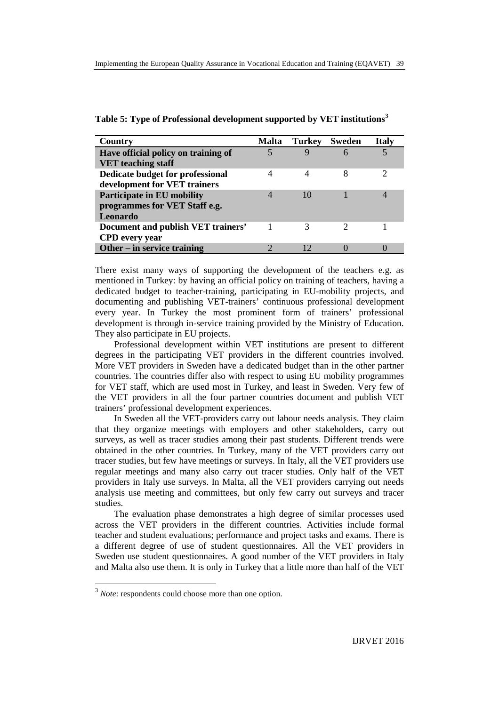**Table 5: Type of Professional development supported by VET institutions[3](#page-10-0)**

| Country                             | <b>Malta</b> | <b>Turkey</b> | <b>Sweden</b> | <b>Italy</b>  |
|-------------------------------------|--------------|---------------|---------------|---------------|
| Have official policy on training of |              | 9             | 6             | 5             |
| <b>VET</b> teaching staff           |              |               |               |               |
| Dedicate budget for professional    | 4            | 4             | 8             | $\mathcal{D}$ |
| development for VET trainers        |              |               |               |               |
| <b>Participate in EU mobility</b>   |              | 10            |               |               |
| programmes for VET Staff e.g.       |              |               |               |               |
| Leonardo                            |              |               |               |               |
| Document and publish VET trainers'  |              |               |               |               |
| <b>CPD</b> every year               |              |               |               |               |
| Other – in service training         |              |               |               |               |

There exist many ways of supporting the development of the teachers e.g. as mentioned in Turkey: by having an official policy on training of teachers, having a dedicated budget to teacher-training, participating in EU-mobility projects, and documenting and publishing VET-trainers' continuous professional development every year. In Turkey the most prominent form of trainers' professional development is through in-service training provided by the Ministry of Education. They also participate in EU projects.

Professional development within VET institutions are present to different degrees in the participating VET providers in the different countries involved. More VET providers in Sweden have a dedicated budget than in the other partner countries. The countries differ also with respect to using EU mobility programmes for VET staff, which are used most in Turkey, and least in Sweden. Very few of the VET providers in all the four partner countries document and publish VET trainers' professional development experiences.

In Sweden all the VET-providers carry out labour needs analysis. They claim that they organize meetings with employers and other stakeholders, carry out surveys, as well as tracer studies among their past students. Different trends were obtained in the other countries. In Turkey, many of the VET providers carry out tracer studies, but few have meetings or surveys. In Italy, all the VET providers use regular meetings and many also carry out tracer studies. Only half of the VET providers in Italy use surveys. In Malta, all the VET providers carrying out needs analysis use meeting and committees, but only few carry out surveys and tracer studies.

The evaluation phase demonstrates a high degree of similar processes used across the VET providers in the different countries. Activities include formal teacher and student evaluations; performance and project tasks and exams. There is a different degree of use of student questionnaires. All the VET providers in Sweden use student questionnaires. A good number of the VET providers in Italy and Malta also use them. It is only in Turkey that a little more than half of the VET

<span id="page-10-0"></span><sup>&</sup>lt;sup>3</sup> *Note*: respondents could choose more than one option.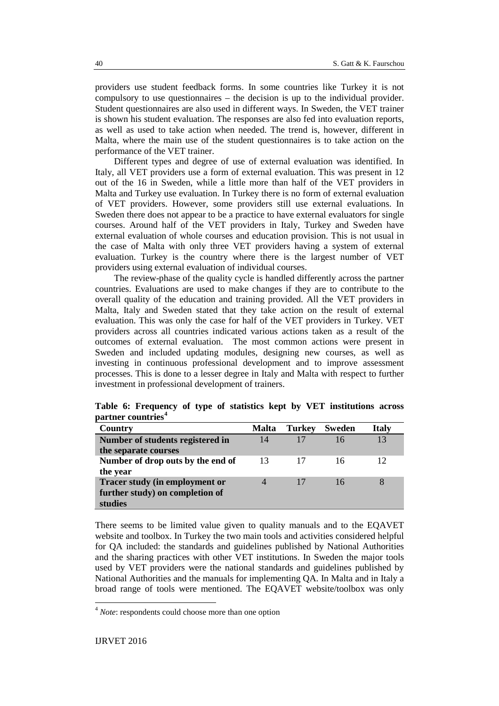providers use student feedback forms. In some countries like Turkey it is not compulsory to use questionnaires – the decision is up to the individual provider. Student questionnaires are also used in different ways. In Sweden, the VET trainer is shown his student evaluation. The responses are also fed into evaluation reports, as well as used to take action when needed. The trend is, however, different in Malta, where the main use of the student questionnaires is to take action on the performance of the VET trainer.

Different types and degree of use of external evaluation was identified. In Italy, all VET providers use a form of external evaluation. This was present in 12 out of the 16 in Sweden, while a little more than half of the VET providers in Malta and Turkey use evaluation. In Turkey there is no form of external evaluation of VET providers. However, some providers still use external evaluations. In Sweden there does not appear to be a practice to have external evaluators for single courses. Around half of the VET providers in Italy, Turkey and Sweden have external evaluation of whole courses and education provision. This is not usual in the case of Malta with only three VET providers having a system of external evaluation. Turkey is the country where there is the largest number of VET providers using external evaluation of individual courses.

The review-phase of the quality cycle is handled differently across the partner countries. Evaluations are used to make changes if they are to contribute to the overall quality of the education and training provided. All the VET providers in Malta, Italy and Sweden stated that they take action on the result of external evaluation. This was only the case for half of the VET providers in Turkey. VET providers across all countries indicated various actions taken as a result of the outcomes of external evaluation. The most common actions were present in Sweden and included updating modules, designing new courses, as well as investing in continuous professional development and to improve assessment processes. This is done to a lesser degree in Italy and Malta with respect to further investment in professional development of trainers.

| Country                           | <b>Malta</b> | <b>Turkey</b> | <b>Sweden</b> | <b>Italy</b> |
|-----------------------------------|--------------|---------------|---------------|--------------|
| Number of students registered in  | 14           | 17            | 16            | 13           |
| the separate courses              |              |               |               |              |
| Number of drop outs by the end of | 13           |               | 16            | 12           |
| the year                          |              |               |               |              |
| Tracer study (in employment or    |              | 17            | 16            |              |
| further study) on completion of   |              |               |               |              |
| studies                           |              |               |               |              |

**Table 6: Frequency of type of statistics kept by VET institutions across partner countries[4](#page-11-0)**

There seems to be limited value given to quality manuals and to the EQAVET website and toolbox. In Turkey the two main tools and activities considered helpful for QA included: the standards and guidelines published by National Authorities and the sharing practices with other VET institutions. In Sweden the major tools used by VET providers were the national standards and guidelines published by National Authorities and the manuals for implementing QA. In Malta and in Italy a broad range of tools were mentioned. The EQAVET website/toolbox was only

<span id="page-11-0"></span> <sup>4</sup> *Note*: respondents could choose more than one option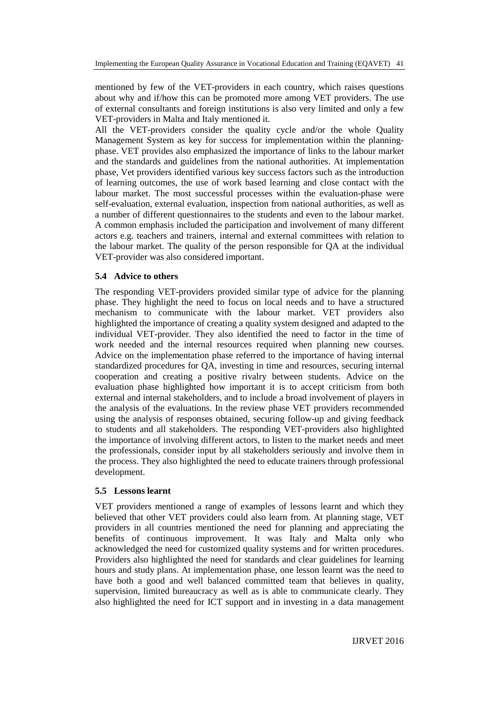mentioned by few of the VET-providers in each country, which raises questions about why and if/how this can be promoted more among VET providers. The use of external consultants and foreign institutions is also very limited and only a few VET-providers in Malta and Italy mentioned it.

All the VET-providers consider the quality cycle and/or the whole Quality Management System as key for success for implementation within the planningphase. VET provides also emphasized the importance of links to the labour market and the standards and guidelines from the national authorities. At implementation phase, Vet providers identified various key success factors such as the introduction of learning outcomes, the use of work based learning and close contact with the labour market. The most successful processes within the evaluation-phase were self-evaluation, external evaluation, inspection from national authorities, as well as a number of different questionnaires to the students and even to the labour market. A common emphasis included the participation and involvement of many different actors e.g. teachers and trainers, internal and external committees with relation to the labour market. The quality of the person responsible for QA at the individual VET-provider was also considered important.

#### **5.4 Advice to others**

The responding VET-providers provided similar type of advice for the planning phase. They highlight the need to focus on local needs and to have a structured mechanism to communicate with the labour market. VET providers also highlighted the importance of creating a quality system designed and adapted to the individual VET-provider. They also identified the need to factor in the time of work needed and the internal resources required when planning new courses. Advice on the implementation phase referred to the importance of having internal standardized procedures for QA, investing in time and resources, securing internal cooperation and creating a positive rivalry between students. Advice on the evaluation phase highlighted how important it is to accept criticism from both external and internal stakeholders, and to include a broad involvement of players in the analysis of the evaluations. In the review phase VET providers recommended using the analysis of responses obtained, securing follow-up and giving feedback to students and all stakeholders. The responding VET-providers also highlighted the importance of involving different actors, to listen to the market needs and meet the professionals, consider input by all stakeholders seriously and involve them in the process. They also highlighted the need to educate trainers through professional development.

#### **5.5 Lessons learnt**

VET providers mentioned a range of examples of lessons learnt and which they believed that other VET providers could also learn from. At planning stage, VET providers in all countries mentioned the need for planning and appreciating the benefits of continuous improvement. It was Italy and Malta only who acknowledged the need for customized quality systems and for written procedures. Providers also highlighted the need for standards and clear guidelines for learning hours and study plans. At implementation phase, one lesson learnt was the need to have both a good and well balanced committed team that believes in quality, supervision, limited bureaucracy as well as is able to communicate clearly. They also highlighted the need for ICT support and in investing in a data management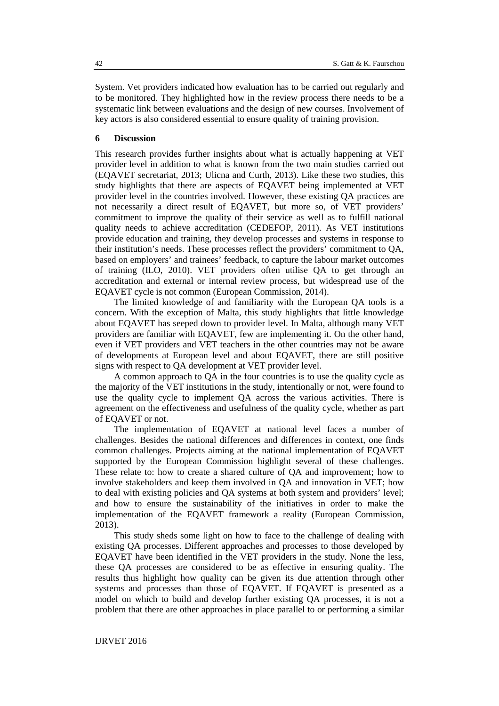System. Vet providers indicated how evaluation has to be carried out regularly and to be monitored. They highlighted how in the review process there needs to be a systematic link between evaluations and the design of new courses. Involvement of key actors is also considered essential to ensure quality of training provision.

#### **6 Discussion**

This research provides further insights about what is actually happening at VET provider level in addition to what is known from the two main studies carried out (EQAVET secretariat, 2013; Ulicna and Curth, 2013). Like these two studies, this study highlights that there are aspects of EQAVET being implemented at VET provider level in the countries involved. However, these existing QA practices are not necessarily a direct result of EQAVET, but more so, of VET providers' commitment to improve the quality of their service as well as to fulfill national quality needs to achieve accreditation (CEDEFOP, 2011). As VET institutions provide education and training, they develop processes and systems in response to their institution's needs. These processes reflect the providers' commitment to QA, based on employers' and trainees' feedback, to capture the labour market outcomes of training (ILO, 2010). VET providers often utilise QA to get through an accreditation and external or internal review process, but widespread use of the EQAVET cycle is not common (European Commission, 2014).

The limited knowledge of and familiarity with the European QA tools is a concern. With the exception of Malta, this study highlights that little knowledge about EQAVET has seeped down to provider level. In Malta, although many VET providers are familiar with EQAVET, few are implementing it. On the other hand, even if VET providers and VET teachers in the other countries may not be aware of developments at European level and about EQAVET, there are still positive signs with respect to QA development at VET provider level.

A common approach to QA in the four countries is to use the quality cycle as the majority of the VET institutions in the study, intentionally or not, were found to use the quality cycle to implement QA across the various activities. There is agreement on the effectiveness and usefulness of the quality cycle, whether as part of EQAVET or not.

The implementation of EQAVET at national level faces a number of challenges. Besides the national differences and differences in context, one finds common challenges. Projects aiming at the national implementation of EQAVET supported by the European Commission highlight several of these challenges. These relate to: how to create a shared culture of QA and improvement; how to involve stakeholders and keep them involved in QA and innovation in VET; how to deal with existing policies and QA systems at both system and providers' level; and how to ensure the sustainability of the initiatives in order to make the implementation of the EQAVET framework a reality (European Commission, 2013).

This study sheds some light on how to face to the challenge of dealing with existing QA processes. Different approaches and processes to those developed by EQAVET have been identified in the VET providers in the study. None the less, these QA processes are considered to be as effective in ensuring quality. The results thus highlight how quality can be given its due attention through other systems and processes than those of EQAVET. If EQAVET is presented as a model on which to build and develop further existing QA processes, it is not a problem that there are other approaches in place parallel to or performing a similar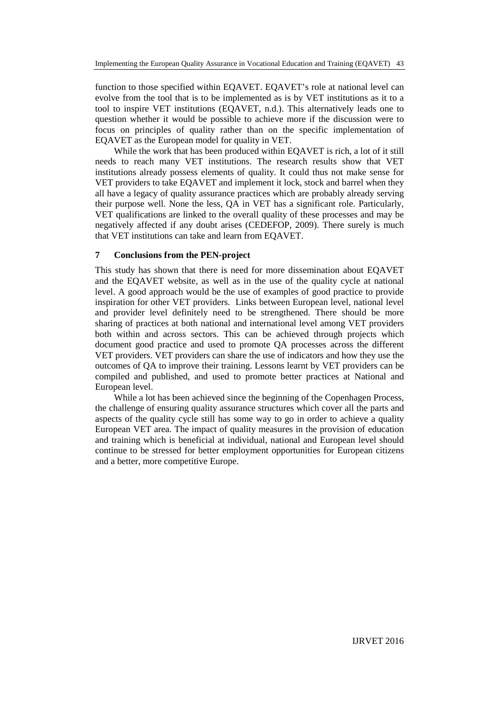function to those specified within EQAVET. EQAVET's role at national level can evolve from the tool that is to be implemented as is by VET institutions as it to a tool to inspire VET institutions (EQAVET, n.d.). This alternatively leads one to question whether it would be possible to achieve more if the discussion were to focus on principles of quality rather than on the specific implementation of EQAVET as the European model for quality in VET.

While the work that has been produced within EQAVET is rich, a lot of it still needs to reach many VET institutions. The research results show that VET institutions already possess elements of quality. It could thus not make sense for VET providers to take EQAVET and implement it lock, stock and barrel when they all have a legacy of quality assurance practices which are probably already serving their purpose well. None the less, QA in VET has a significant role. Particularly, VET qualifications are linked to the overall quality of these processes and may be negatively affected if any doubt arises (CEDEFOP, 2009). There surely is much that VET institutions can take and learn from EQAVET.

## **7 Conclusions from the PEN-project**

This study has shown that there is need for more dissemination about EQAVET and the EQAVET website, as well as in the use of the quality cycle at national level. A good approach would be the use of examples of good practice to provide inspiration for other VET providers. Links between European level, national level and provider level definitely need to be strengthened. There should be more sharing of practices at both national and international level among VET providers both within and across sectors. This can be achieved through projects which document good practice and used to promote QA processes across the different VET providers. VET providers can share the use of indicators and how they use the outcomes of QA to improve their training. Lessons learnt by VET providers can be compiled and published, and used to promote better practices at National and European level.

While a lot has been achieved since the beginning of the Copenhagen Process, the challenge of ensuring quality assurance structures which cover all the parts and aspects of the quality cycle still has some way to go in order to achieve a quality European VET area. The impact of quality measures in the provision of education and training which is beneficial at individual, national and European level should continue to be stressed for better employment opportunities for European citizens and a better, more competitive Europe.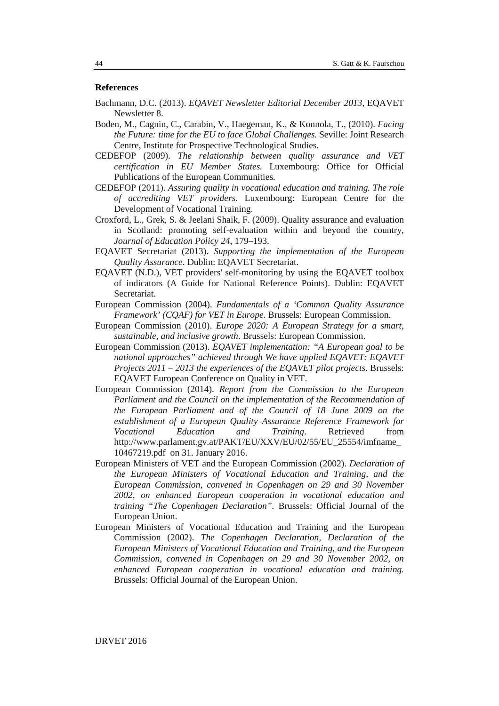## **References**

- Bachmann, D.C. (2013). *EQAVET Newsletter Editorial December 2013*, EQAVET Newsletter 8.
- Boden, M., Cagnin, C., Carabin, V., Haegeman, K., & Konnola, T., (2010). *Facing the Future: time for the EU to face Global Challenges.* Seville: Joint Research Centre, Institute for Prospective Technological Studies.
- CEDEFOP (2009). *The relationship between quality assurance and VET certification in EU Member States.* Luxembourg: Office for Official Publications of the European Communities.
- CEDEFOP (2011). *Assuring quality in vocational education and training. The role of accrediting VET providers.* Luxembourg: European Centre for the Development of Vocational Training.
- Croxford, L., Grek, S. & Jeelani Shaik, F. (2009). Quality assurance and evaluation in Scotland: promoting self-evaluation within and beyond the country, *Journal of Education Policy 24*, 179–193.
- EQAVET Secretariat (2013). *Supporting the implementation of the European Quality Assurance*. Dublin: EQAVET Secretariat.
- EQAVET (N.D.), VET providers' self-monitoring by using the EQAVET toolbox of indicators (A Guide for National Reference Points). Dublin: EQAVET Secretariat.
- European Commission (2004). *Fundamentals of a 'Common Quality Assurance Framework' (CQAF) for VET in Europe.* Brussels: European Commission.
- European Commission (2010). *Europe 2020: A European Strategy for a smart, sustainable, and inclusive growth*. Brussels: European Commission.
- European Commission (2013). *EQAVET implementation: "A European goal to be national approaches" achieved through We have applied EQAVET: EQAVET Projects 2011 – 2013 the experiences of the EQAVET pilot projects*. Brussels: EQAVET European Conference on Quality in VET.
- European Commission (2014). *Report from the Commission to the European Parliament and the Council on the implementation of the Recommendation of the European Parliament and of the Council of 18 June 2009 on the establishment of a European Quality Assurance Reference Framework for Vocational Education and Training*. Retrieved from http://www.parlament.gv.at/PAKT/EU/XXV/EU/02/55/EU\_25554/imfname\_ 10467219.pdf on 31. January 2016.
- European Ministers of VET and the European Commission (2002). *Declaration of the European Ministers of Vocational Education and Training, and the European Commission, convened in Copenhagen on 29 and 30 November 2002, on enhanced European cooperation in vocational education and training "The Copenhagen Declaration".* Brussels: Official Journal of the European Union.
- European Ministers of Vocational Education and Training and the European Commission (2002). *The Copenhagen Declaration, Declaration of the European Ministers of Vocational Education and Training, and the European Commission, convened in Copenhagen on 29 and 30 November 2002, on enhanced European cooperation in vocational education and training.* Brussels: Official Journal of the European Union.